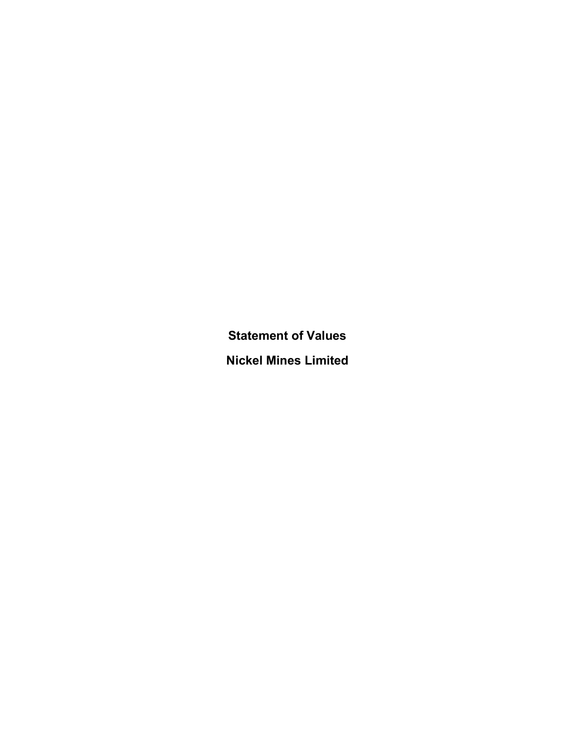Statement of Values Nickel Mines Limited